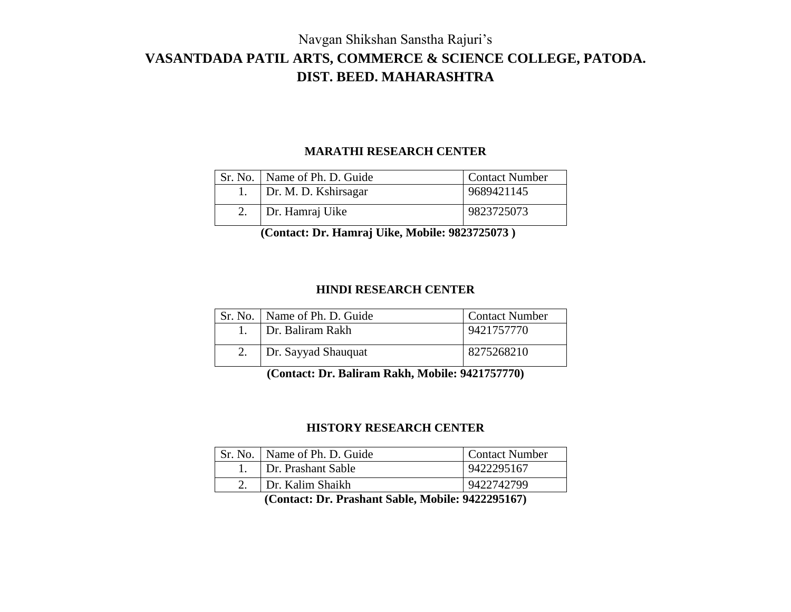# Navgan Shikshan Sanstha Rajuri's **VASANTDADA PATIL ARTS, COMMERCE & SCIENCE COLLEGE, PATODA. DIST. BEED. MAHARASHTRA**

#### **MARATHI RESEARCH CENTER**

| Sr. No.   Name of Ph. D. Guide | <b>Contact Number</b> |
|--------------------------------|-----------------------|
| Dr. M. D. Kshirsagar           | 9689421145            |
| Dr. Hamraj Uike                | 9823725073            |

 **(Contact: Dr. Hamraj Uike, Mobile: 9823725073 )**

## **HINDI RESEARCH CENTER**

| Sr. No.   Name of Ph. D. Guide | <b>Contact Number</b> |
|--------------------------------|-----------------------|
| Dr. Baliram Rakh               | 9421757770            |
| Dr. Sayyad Shauquat            | 8275268210            |

**(Contact: Dr. Baliram Rakh, Mobile: 9421757770)**

# **HISTORY RESEARCH CENTER**

| Sr. No.   Name of Ph. D. Guide | <b>Contact Number</b> |
|--------------------------------|-----------------------|
| Dr. Prashant Sable             | 9422295167            |
| Dr. Kalim Shaikh               | 9422742799            |

**(Contact: Dr. Prashant Sable, Mobile: 9422295167)**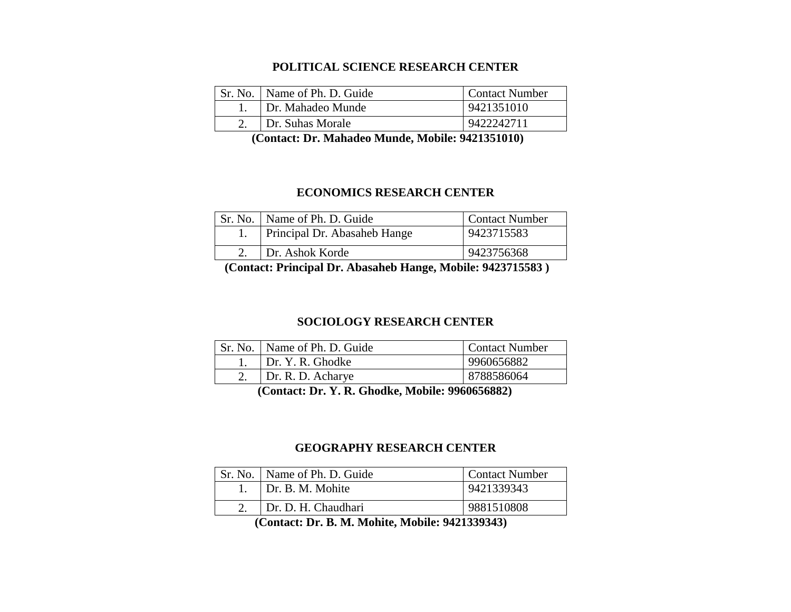#### **POLITICAL SCIENCE RESEARCH CENTER**

| Sr. No. | Name of Ph. D. Guide | <b>Contact Number</b> |
|---------|----------------------|-----------------------|
|         | Dr. Mahadeo Munde    | 9421351010            |
|         | Dr. Suhas Morale     | 9422242711            |

 **(Contact: Dr. Mahadeo Munde, Mobile: 9421351010)**

#### **ECONOMICS RESEARCH CENTER**

| Sr. No.   Name of Ph. D. Guide | <b>Contact Number</b> |
|--------------------------------|-----------------------|
| Principal Dr. Abasaheb Hange   | 9423715583            |
| Dr. Ashok Korde                | 9423756368            |

 **(Contact: Principal Dr. Abasaheb Hange, Mobile: 9423715583 )**

#### **SOCIOLOGY RESEARCH CENTER**

| Sr. No.   Name of Ph. D. Guide | <b>Contact Number</b> |
|--------------------------------|-----------------------|
| Dr. Y. R. Ghodke               | 9960656882            |
| Dr. R. D. Acharye              | 8788586064            |

 **(Contact: Dr. Y. R. Ghodke, Mobile: 9960656882)**

#### **GEOGRAPHY RESEARCH CENTER**

| Sr. No. | Name of Ph. D. Guide | <b>Contact Number</b> |
|---------|----------------------|-----------------------|
|         | Dr. B. M. Mohite     | 9421339343            |
|         | Dr. D. H. Chaudhari  | 9881510808            |
|         |                      |                       |

 **(Contact: Dr. B. M. Mohite, Mobile: 9421339343)**